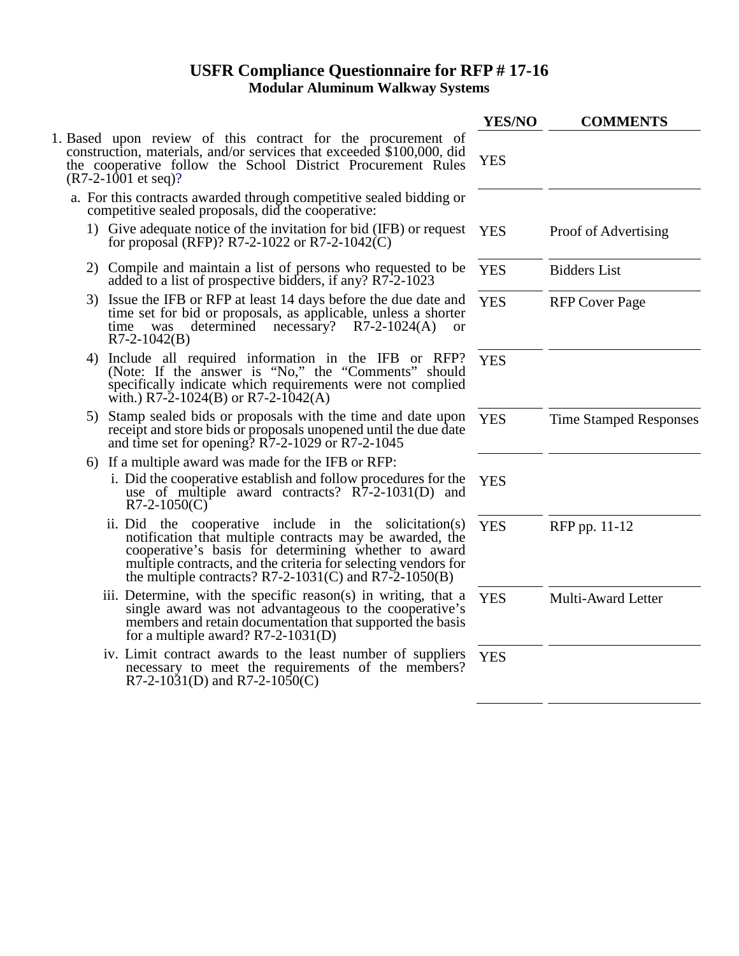## **USFR Compliance Questionnaire for RFP # 17-16 Modular Aluminum Walkway Systems**

|                                                                                                                                                                                                                                                                                                           | YES/NO     | <b>COMMENTS</b>               |
|-----------------------------------------------------------------------------------------------------------------------------------------------------------------------------------------------------------------------------------------------------------------------------------------------------------|------------|-------------------------------|
| 1. Based upon review of this contract for the procurement of<br>construction, materials, and/or services that exceeded \$100,000, did<br>the cooperative follow the School District Procurement Rules<br>$(R7-2-1001$ et seq)?                                                                            | <b>YES</b> |                               |
| a. For this contracts awarded through competitive sealed bidding or<br>competitive sealed proposals, did the cooperative:                                                                                                                                                                                 |            |                               |
| 1) Give adequate notice of the invitation for bid (IFB) or request<br>for proposal (RFP)? R7-2-1022 or R7-2-1042(C)                                                                                                                                                                                       | <b>YES</b> | Proof of Advertising          |
| 2) Compile and maintain a list of persons who requested to be<br>added to a list of prospective bidders, if any? R7-2-1023                                                                                                                                                                                | <b>YES</b> | <b>Bidders List</b>           |
| 3) Issue the IFB or RFP at least 14 days before the due date and<br>time set for bid or proposals, as applicable, unless a shorter<br>determined<br>necessary? $R7-2-1024(A)$<br>time<br>was<br><b>or</b><br>$R7-2-1042(B)$                                                                               | <b>YES</b> | <b>RFP Cover Page</b>         |
| 4) Include all required information in the IFB or RFP?<br>(Note: If the answer is "No," the "Comments" should<br>specifically indicate which requirements were not complied<br>with.) R7-2-1024(B) or R7-2-1042(A)                                                                                        | <b>YES</b> |                               |
| 5) Stamp sealed bids or proposals with the time and date upon<br>receipt and store bids or proposals unopened until the due date<br>and time set for opening? $R7-2-1029$ or $R7-2-1045$                                                                                                                  | <b>YES</b> | <b>Time Stamped Responses</b> |
| 6) If a multiple award was made for the IFB or RFP:                                                                                                                                                                                                                                                       |            |                               |
| i. Did the cooperative establish and follow procedures for the<br>use of multiple award contracts? $R\overline{7}$ -2-1031(D) and<br>$R7-2-1050(C)$                                                                                                                                                       | <b>YES</b> |                               |
| ii. Did the cooperative include in the solicitation(s)<br>notification that multiple contracts may be awarded, the<br>cooperative's basis for determining whether to award<br>multiple contracts, and the criteria for selecting vendors for<br>the multiple contracts? $R7-2-1031(C)$ and $R7-2-1050(B)$ | <b>YES</b> | RFP pp. 11-12                 |
| iii. Determine, with the specific reason(s) in writing, that a<br>single award was not advantageous to the cooperative's<br>members and retain documentation that supported the basis<br>for a multiple award? $R7-2-1031(D)$                                                                             | <b>YES</b> | Multi-Award Letter            |
| iv. Limit contract awards to the least number of suppliers<br>necessary to meet the requirements of the members?<br>R7-2-1031(D) and R7-2-1050(C)                                                                                                                                                         | <b>YES</b> |                               |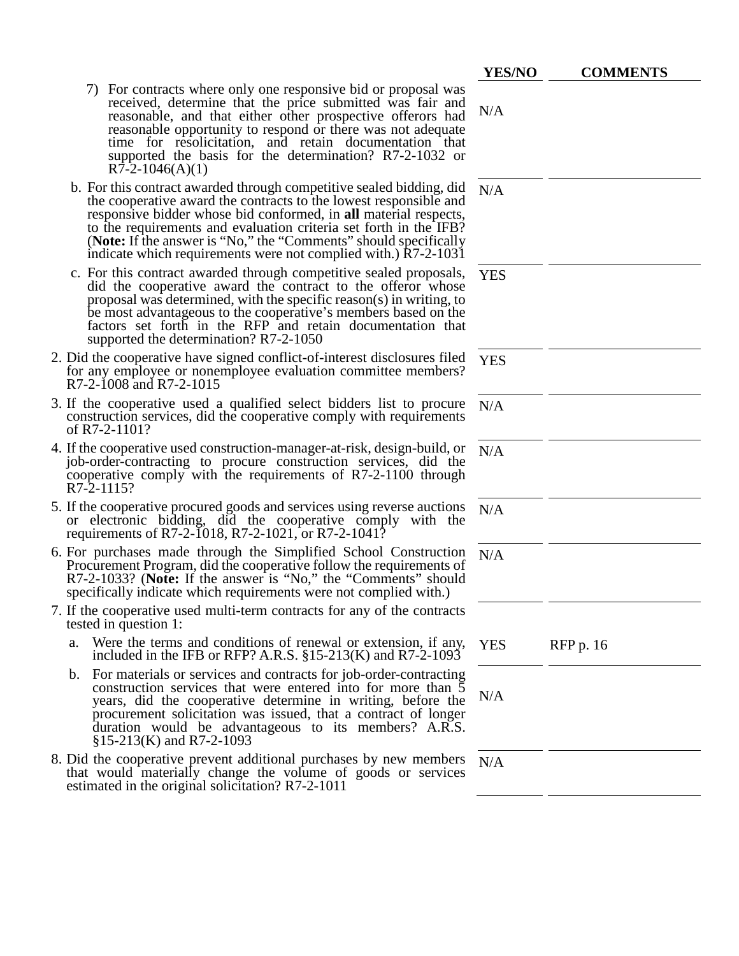|                                                                                                                                                                                                                                                                                                                                                                                                                          | <b>YES/NO</b> | <b>COMMENTS</b>  |
|--------------------------------------------------------------------------------------------------------------------------------------------------------------------------------------------------------------------------------------------------------------------------------------------------------------------------------------------------------------------------------------------------------------------------|---------------|------------------|
| For contracts where only one responsive bid or proposal was<br>received, determine that the price submitted was fair and<br>reasonable, and that either other prospective offerors had<br>reasonable opportunity to respond or there was not adequate<br>time for resolicitation, and retain documentation that<br>supported the basis for the determination? R7-2-1032 or<br>$R\bar{7}$ -2-1046(A)(1)                   | N/A           |                  |
| b. For this contract awarded through competitive sealed bidding, did<br>the cooperative award the contracts to the lowest responsible and<br>responsive bidder whose bid conformed, in all material respects,<br>to the requirements and evaluation criteria set forth in the IFB?<br>(Note: If the answer is "No," the "Comments" should specifically<br>indicate which requirements were not complied with.) R7-2-1031 | N/A           |                  |
| c. For this contract awarded through competitive sealed proposals,<br>did the cooperative award the contract to the offeror whose<br>proposal was determined, with the specific reason(s) in writing, to<br>be most advantageous to the cooperative's members based on the<br>factors set forth in the RFP and retain documentation that<br>supported the determination? R7-2-1050                                       | <b>YES</b>    |                  |
| 2. Did the cooperative have signed conflict-of-interest disclosures filed<br>for any employee or nonemployee evaluation committee members?<br>R7-2-1008 and R7-2-1015                                                                                                                                                                                                                                                    | <b>YES</b>    |                  |
| 3. If the cooperative used a qualified select bidders list to procure<br>construction services, did the cooperative comply with requirements<br>of R7-2-1101?                                                                                                                                                                                                                                                            | N/A           |                  |
| 4. If the cooperative used construction-manager-at-risk, design-build, or<br>job-order-contracting to procure construction services, did the<br>cooperative comply with the requirements of R7-2-1100 through<br>R7-2-1115?                                                                                                                                                                                              | N/A           |                  |
| 5. If the cooperative procured goods and services using reverse auctions<br>or electronic bidding, did the cooperative comply with the<br>requirements of R7-2-1018, R7-2-1021, or R7-2-1041?                                                                                                                                                                                                                            | N/A           |                  |
| 6. For purchases made through the Simplified School Construction<br>Procurement Program, did the cooperative follow the requirements of<br>R7-2-1033? (Note: If the answer is "No," the "Comments" should<br>specifically indicate which requirements were not complied with.)                                                                                                                                           | N/A           |                  |
| 7. If the cooperative used multi-term contracts for any of the contracts<br>tested in question 1:                                                                                                                                                                                                                                                                                                                        |               |                  |
| Were the terms and conditions of renewal or extension, if any,<br>a.<br>included in the IFB or RFP? A.R.S. $\S15-213(K)$ and R7-2-1093                                                                                                                                                                                                                                                                                   | <b>YES</b>    | <b>RFP</b> p. 16 |
| b. For materials or services and contracts for job-order-contracting<br>construction services that were entered into for more than $\bar{5}$<br>years, did the cooperative determine in writing, before the<br>procurement solicitation was issued, that a contract of longer<br>duration would be advantageous to its members? A.R.S.<br>$$15-213(K)$ and R7-2-1093                                                     | N/A           |                  |
| 8. Did the cooperative prevent additional purchases by new members<br>that would materially change the volume of goods or services<br>estimated in the original solicitation? R7-2-1011                                                                                                                                                                                                                                  | N/A           |                  |
|                                                                                                                                                                                                                                                                                                                                                                                                                          |               |                  |